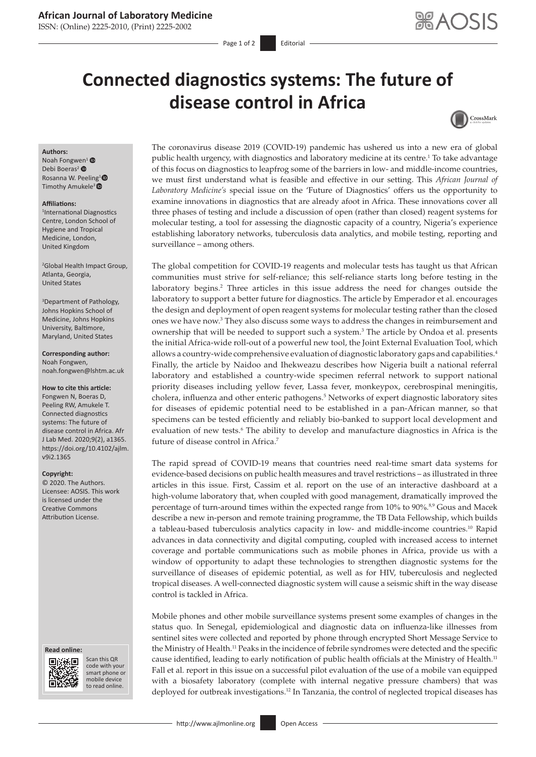# **African Journal of Laboratory Medicine**

ISSN: (Online) 2225-2010, (Print) 2225-2002

Page 1 of 2 Editorial

# **Connected diagnostics systems: The future of disease control in Africa**



### **Authors:**

Noah Fongw[en](https://orcid.org/0000-0002-4171-681X)<sup>1</sup> $\bullet$ Debi Boeras<sup>2</sup> Rosanna W. Peeling<sup>1</sup><sup>®</sup> Timothy Amukele<sup>3</sup><sup>®</sup>

#### **Affiliations:**

1 International Diagnostics Centre, London School of Hygiene and Tropical Medicine, London, United Kingdom

2 Global Health Impact Group, Atlanta, Georgia, United States

3 Department of Pathology, Johns Hopkins School of Medicine, Johns Hopkins University, Baltimore, Maryland, United States

**Corresponding author:** Noah Fongwen, [noah.fongwen@lshtm.ac.uk](mailto:noah.fongwen@lshtm.ac.uk)

**How to cite this article:** Fongwen N, Boeras D, Peeling RW, Amukele T. Connected diagnostics systems: The future of disease control in Africa. Afr J Lab Med. 2020;9(2), a1365. [https://doi.org/10.4102/ajlm.](https://doi.org/10.4102/ajlm.v9i2.1365) [v9i2.1365](https://doi.org/10.4102/ajlm.v9i2.1365)

### **Copyright:**

© 2020. The Authors. Licensee: AOSIS. This work is licensed under the Creative Commons Attribution License.

#### **Read online: Read online:**



Scan this QR code with your Scan this QR<br>code with your<br>smart phone or<br>mobile device mobile device to read online. to read online.

The coronavirus disease 2019 (COVID-19) pandemic has ushered us into a new era of global public health urgency, with diagnostics and laboratory medicine at its centre.1 To take advantage of this focus on diagnostics to leapfrog some of the barriers in low- and middle-income countries, we must first understand what is feasible and effective in our setting. This *African Journal of Laboratory Medicine's* special issue on the 'Future of Diagnostics' offers us the opportunity to examine innovations in diagnostics that are already afoot in Africa. These innovations cover all three phases of testing and include a discussion of open (rather than closed) reagent systems for molecular testing, a tool for assessing the diagnostic capacity of a country, Nigeria's experience establishing laboratory networks, tuberculosis data analytics, and mobile testing, reporting and surveillance – among others.

The global competition for COVID-19 reagents and molecular tests has taught us that African communities must strive for self-reliance; this self-reliance starts long before testing in the laboratory begins.2 Three articles in this issue address the need for changes outside the laboratory to support a better future for diagnostics. The article by Emperador et al. encourages the design and deployment of open reagent systems for molecular testing rather than the closed ones we have now.3 They also discuss some ways to address the changes in reimbursement and ownership that will be needed to support such a system.<sup>3</sup> The article by Ondoa et al. presents the initial Africa-wide roll-out of a powerful new tool, the Joint External Evaluation Tool, which allows a country-wide comprehensive evaluation of diagnostic laboratory gaps and capabilities.<sup>4</sup> Finally, the article by Naidoo and Ihekweazu describes how Nigeria built a national referral laboratory and established a country-wide specimen referral network to support national priority diseases including yellow fever, Lassa fever, monkeypox, cerebrospinal meningitis, cholera, influenza and other enteric pathogens.<sup>5</sup> Networks of expert diagnostic laboratory sites for diseases of epidemic potential need to be established in a pan-African manner, so that specimens can be tested efficiently and reliably bio-banked to support local development and evaluation of new tests.<sup>6</sup> The ability to develop and manufacture diagnostics in Africa is the future of disease control in Africa<sup>7</sup>

The rapid spread of COVID-19 means that countries need real-time smart data systems for evidence-based decisions on public health measures and travel restrictions – as illustrated in three articles in this issue. First, Cassim et al. report on the use of an interactive dashboard at a high-volume laboratory that, when coupled with good management, dramatically improved the percentage of turn-around times within the expected range from 10% to 90%.<sup>8,9</sup> Gous and Macek describe a new in-person and remote training programme, the TB Data Fellowship, which builds a tableau-based tuberculosis analytics capacity in low- and middle-income countries.10 Rapid advances in data connectivity and digital computing, coupled with increased access to internet coverage and portable communications such as mobile phones in Africa, provide us with a window of opportunity to adapt these technologies to strengthen diagnostic systems for the surveillance of diseases of epidemic potential, as well as for HIV, tuberculosis and neglected tropical diseases. A well-connected diagnostic system will cause a seismic shift in the way disease control is tackled in Africa.

Mobile phones and other mobile surveillance systems present some examples of changes in the status quo. In Senegal, epidemiological and diagnostic data on influenza-like illnesses from sentinel sites were collected and reported by phone through encrypted Short Message Service to the Ministry of Health.11 Peaks in the incidence of febrile syndromes were detected and the specific cause identified, leading to early notification of public health officials at the Ministry of Health.<sup>11</sup> Fall et al. report in this issue on a successful pilot evaluation of the use of a mobile van equipped with a biosafety laboratory (complete with internal negative pressure chambers) that was deployed for outbreak investigations.<sup>12</sup> In Tanzania, the control of neglected tropical diseases has